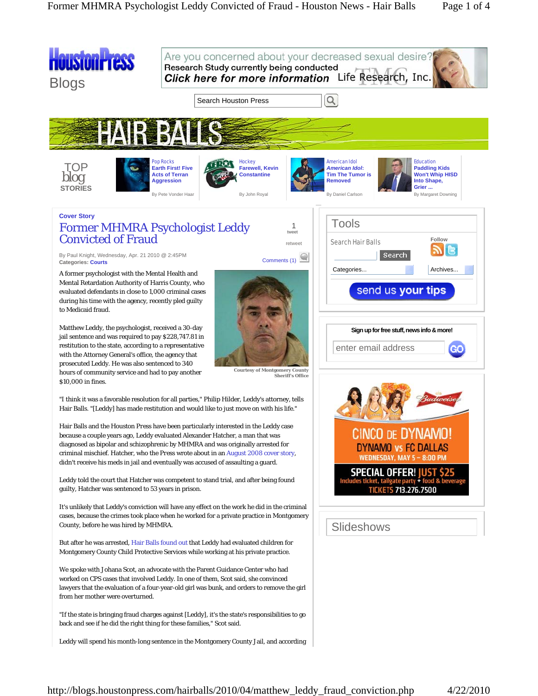